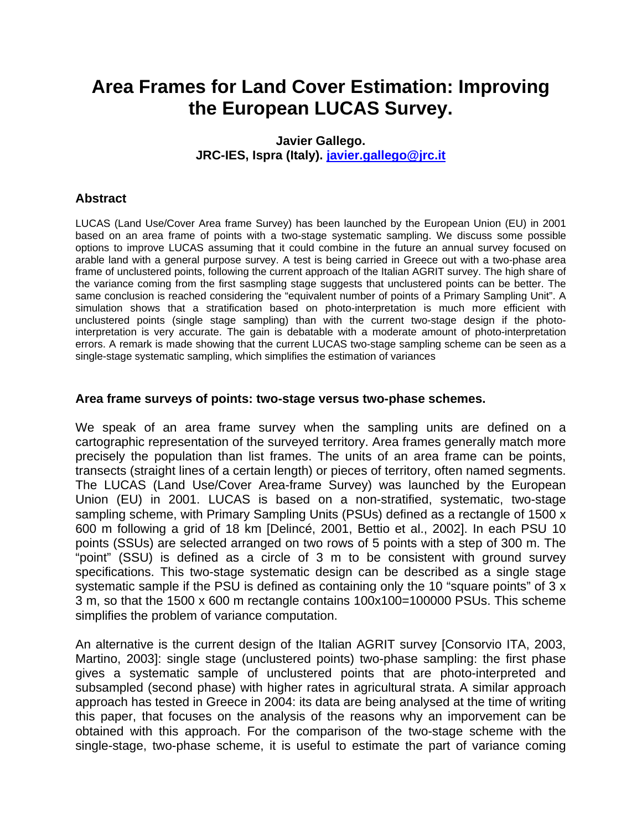# **Area Frames for Land Cover Estimation: Improving the European LUCAS Survey.**

## **Javier Gallego. JRC-IES, Ispra (Italy). javier.gallego@jrc.it**

# **Abstract**

LUCAS (Land Use/Cover Area frame Survey) has been launched by the European Union (EU) in 2001 based on an area frame of points with a two-stage systematic sampling. We discuss some possible options to improve LUCAS assuming that it could combine in the future an annual survey focused on arable land with a general purpose survey. A test is being carried in Greece out with a two-phase area frame of unclustered points, following the current approach of the Italian AGRIT survey. The high share of the variance coming from the first sasmpling stage suggests that unclustered points can be better. The same conclusion is reached considering the "equivalent number of points of a Primary Sampling Unit". A simulation shows that a stratification based on photo-interpretation is much more efficient with unclustered points (single stage sampling) than with the current two-stage design if the photointerpretation is very accurate. The gain is debatable with a moderate amount of photo-interpretation errors. A remark is made showing that the current LUCAS two-stage sampling scheme can be seen as a single-stage systematic sampling, which simplifies the estimation of variances

#### **Area frame surveys of points: two-stage versus two-phase schemes.**

We speak of an area frame survey when the sampling units are defined on a cartographic representation of the surveyed territory. Area frames generally match more precisely the population than list frames. The units of an area frame can be points, transects (straight lines of a certain length) or pieces of territory, often named segments. The LUCAS (Land Use/Cover Area-frame Survey) was launched by the European Union (EU) in 2001. LUCAS is based on a non-stratified, systematic, two-stage sampling scheme, with Primary Sampling Units (PSUs) defined as a rectangle of 1500 x 600 m following a grid of 18 km [Delincé, 2001, Bettio et al., 2002]. In each PSU 10 points (SSUs) are selected arranged on two rows of 5 points with a step of 300 m. The "point" (SSU) is defined as a circle of 3 m to be consistent with ground survey specifications. This two-stage systematic design can be described as a single stage systematic sample if the PSU is defined as containing only the 10 "square points" of 3 x 3 m, so that the 1500 x 600 m rectangle contains 100x100=100000 PSUs. This scheme simplifies the problem of variance computation.

An alternative is the current design of the Italian AGRIT survey [Consorvio ITA, 2003, Martino, 2003]: single stage (unclustered points) two-phase sampling: the first phase gives a systematic sample of unclustered points that are photo-interpreted and subsampled (second phase) with higher rates in agricultural strata. A similar approach approach has tested in Greece in 2004: its data are being analysed at the time of writing this paper, that focuses on the analysis of the reasons why an imporvement can be obtained with this approach. For the comparison of the two-stage scheme with the single-stage, two-phase scheme, it is useful to estimate the part of variance coming